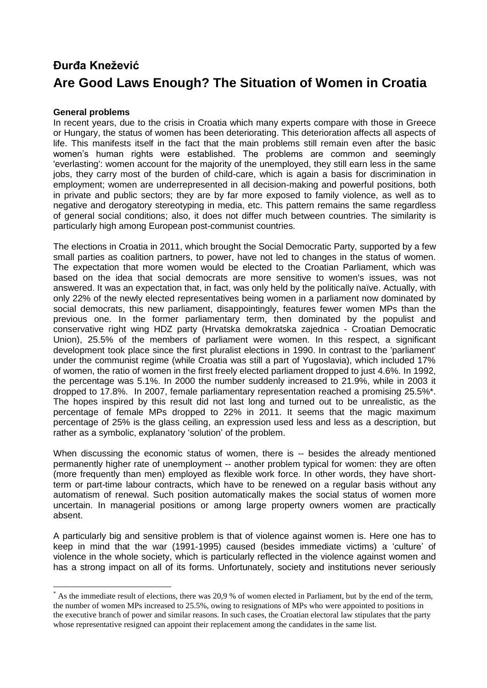## **Đurđa Knežević Are Good Laws Enough? The Situation of Women in Croatia**

## **General problems**

 $\overline{a}$ 

In recent years, due to the crisis in Croatia which many experts compare with those in Greece or Hungary, the status of women has been deteriorating. This deterioration affects all aspects of life. This manifests itself in the fact that the main problems still remain even after the basic women's human rights were established. The problems are common and seemingly 'everlasting': women account for the majority of the unemployed, they still earn less in the same jobs, they carry most of the burden of child-care, which is again a basis for discrimination in employment; women are underrepresented in all decision-making and powerful positions, both in private and public sectors; they are by far more exposed to family violence, as well as to negative and derogatory stereotyping in media, etc. This pattern remains the same regardless of general social conditions; also, it does not differ much between countries. The similarity is particularly high among European post-communist countries.

The elections in Croatia in 2011, which brought the Social Democratic Party, supported by a few small parties as coalition partners, to power, have not led to changes in the status of women. The expectation that more women would be elected to the Croatian Parliament, which was based on the idea that social democrats are more sensitive to women's issues, was not answered. It was an expectation that, in fact, was only held by the politically naïve. Actually, with only 22% of the newly elected representatives being women in a parliament now dominated by social democrats, this new parliament, disappointingly, features fewer women MPs than the previous one. In the former parliamentary term, then dominated by the populist and conservative right wing HDZ party (Hrvatska demokratska zajednica - Croatian Democratic Union), 25.5% of the members of parliament were women. In this respect, a significant development took place since the first pluralist elections in 1990. In contrast to the 'parliament' under the communist regime (while Croatia was still a part of Yugoslavia), which included 17% of women, the ratio of women in the first freely elected parliament dropped to just 4.6%. In 1992, the percentage was 5.1%. In 2000 the number suddenly increased to 21.9%, while in 2003 it dropped to 17.8%. In 2007, female parliamentary representation reached a promising 25.5%\*. The hopes inspired by this result did not last long and turned out to be unrealistic, as the percentage of female MPs dropped to 22% in 2011. It seems that the magic maximum percentage of 25% is the glass ceiling, an expression used less and less as a description, but rather as a symbolic, explanatory 'solution' of the problem.

When discussing the economic status of women, there is -- besides the already mentioned permanently higher rate of unemployment -- another problem typical for women: they are often (more frequently than men) employed as flexible work force. In other words, they have shortterm or part-time labour contracts, which have to be renewed on a regular basis without any automatism of renewal. Such position automatically makes the social status of women more uncertain. In managerial positions or among large property owners women are practically absent.

A particularly big and sensitive problem is that of violence against women is. Here one has to keep in mind that the war (1991-1995) caused (besides immediate victims) a 'culture' of violence in the whole society, which is particularly reflected in the violence against women and has a strong impact on all of its forms. Unfortunately, society and institutions never seriously

As the immediate result of elections, there was 20,9 % of women elected in Parliament, but by the end of the term, the number of women MPs increased to 25.5%, owing to resignations of MPs who were appointed to positions in the executive branch of power and similar reasons. In such cases, the Croatian electoral law stipulates that the party whose representative resigned can appoint their replacement among the candidates in the same list.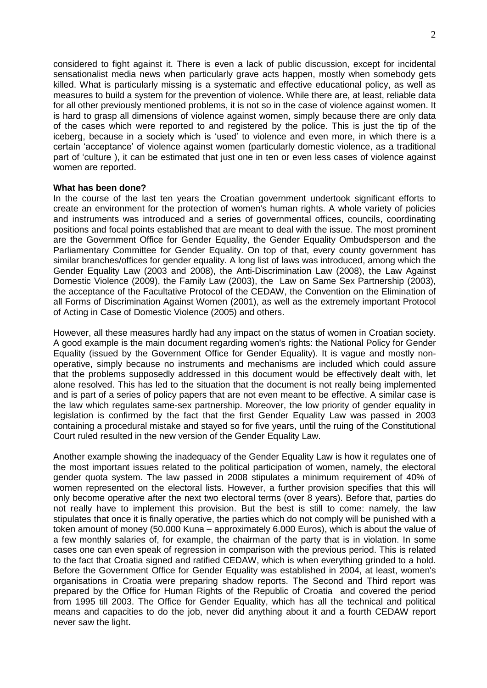considered to fight against it. There is even a lack of public discussion, except for incidental sensationalist media news when particularly grave acts happen, mostly when somebody gets killed. What is particularly missing is a systematic and effective educational policy, as well as measures to build a system for the prevention of violence. While there are, at least, reliable data for all other previously mentioned problems, it is not so in the case of violence against women. It is hard to grasp all dimensions of violence against women, simply because there are only data of the cases which were reported to and registered by the police. This is just the tip of the iceberg, because in a society which is 'used' to violence and even more, in which there is a certain 'acceptance' of violence against women (particularly domestic violence, as a traditional part of 'culture ), it can be estimated that just one in ten or even less cases of violence against women are reported.

## **What has been done?**

In the course of the last ten years the Croatian government undertook significant efforts to create an environment for the protection of women's human rights. A whole variety of policies and instruments was introduced and a series of governmental offices, councils, coordinating positions and focal points established that are meant to deal with the issue. The most prominent are the Government Office for Gender Equality, the Gender Equality Ombudsperson and the Parliamentary Committee for Gender Equality. On top of that, every county government has similar branches/offices for gender equality. A long list of laws was introduced, among which the Gender Equality Law (2003 and 2008), the Anti-Discrimination Law (2008), the Law Against Domestic Violence (2009), the Family Law (2003), the Law on Same Sex Partnership (2003), the acceptance of the Facultative Protocol of the CEDAW, the Convention on the Elimination of all Forms of Discrimination Against Women (2001), as well as the extremely important Protocol of Acting in Case of Domestic Violence (2005) and others.

However, all these measures hardly had any impact on the status of women in Croatian society. A good example is the main document regarding women's rights: the National Policy for Gender Equality (issued by the Government Office for Gender Equality). It is vague and mostly nonoperative, simply because no instruments and mechanisms are included which could assure that the problems supposedly addressed in this document would be effectively dealt with, let alone resolved. This has led to the situation that the document is not really being implemented and is part of a series of policy papers that are not even meant to be effective. A similar case is the law which regulates same-sex partnership. Moreover, the low priority of gender equality in legislation is confirmed by the fact that the first Gender Equality Law was passed in 2003 containing a procedural mistake and stayed so for five years, until the ruing of the Constitutional Court ruled resulted in the new version of the Gender Equality Law.

Another example showing the inadequacy of the Gender Equality Law is how it regulates one of the most important issues related to the political participation of women, namely, the electoral gender quota system. The law passed in 2008 stipulates a minimum requirement of 40% of women represented on the electoral lists. However, a further provision specifies that this will only become operative after the next two electoral terms (over 8 years). Before that, parties do not really have to implement this provision. But the best is still to come: namely, the law stipulates that once it is finally operative, the parties which do not comply will be punished with a token amount of money (50.000 Kuna – approximately 6.000 Euros), which is about the value of a few monthly salaries of, for example, the chairman of the party that is in violation. In some cases one can even speak of regression in comparison with the previous period. This is related to the fact that Croatia signed and ratified CEDAW, which is when everything grinded to a hold. Before the Government Office for Gender Equality was established in 2004, at least, women's organisations in Croatia were preparing shadow reports. The Second and Third report was prepared by the Office for Human Rights of the Republic of Croatia and covered the period from 1995 till 2003. The Office for Gender Equality, which has all the technical and political means and capacities to do the job, never did anything about it and a fourth CEDAW report never saw the light.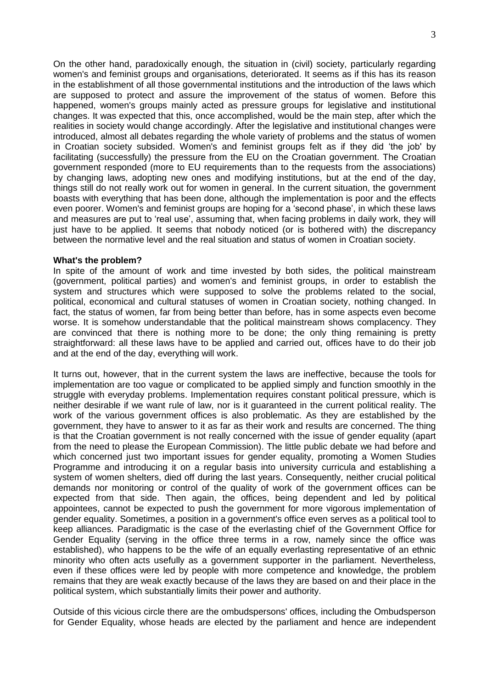On the other hand, paradoxically enough, the situation in (civil) society, particularly regarding women's and feminist groups and organisations, deteriorated. It seems as if this has its reason in the establishment of all those governmental institutions and the introduction of the laws which are supposed to protect and assure the improvement of the status of women. Before this happened, women's groups mainly acted as pressure groups for legislative and institutional changes. It was expected that this, once accomplished, would be the main step, after which the realities in society would change accordingly. After the legislative and institutional changes were introduced, almost all debates regarding the whole variety of problems and the status of women in Croatian society subsided. Women's and feminist groups felt as if they did 'the job' by facilitating (successfully) the pressure from the EU on the Croatian government. The Croatian government responded (more to EU requirements than to the requests from the associations) by changing laws, adopting new ones and modifying institutions, but at the end of the day, things still do not really work out for women in general. In the current situation, the government boasts with everything that has been done, although the implementation is poor and the effects even poorer. Women's and feminist groups are hoping for a 'second phase', in which these laws and measures are put to 'real use', assuming that, when facing problems in daily work, they will just have to be applied. It seems that nobody noticed (or is bothered with) the discrepancy between the normative level and the real situation and status of women in Croatian society.

## **What's the problem?**

In spite of the amount of work and time invested by both sides, the political mainstream (government, political parties) and women's and feminist groups, in order to establish the system and structures which were supposed to solve the problems related to the social, political, economical and cultural statuses of women in Croatian society, nothing changed. In fact, the status of women, far from being better than before, has in some aspects even become worse. It is somehow understandable that the political mainstream shows complacency. They are convinced that there is nothing more to be done; the only thing remaining is pretty straightforward: all these laws have to be applied and carried out, offices have to do their job and at the end of the day, everything will work.

It turns out, however, that in the current system the laws are ineffective, because the tools for implementation are too vague or complicated to be applied simply and function smoothly in the struggle with everyday problems. Implementation requires constant political pressure, which is neither desirable if we want rule of law, nor is it guaranteed in the current political reality. The work of the various government offices is also problematic. As they are established by the government, they have to answer to it as far as their work and results are concerned. The thing is that the Croatian government is not really concerned with the issue of gender equality (apart from the need to please the European Commission). The little public debate we had before and which concerned just two important issues for gender equality, promoting a Women Studies Programme and introducing it on a regular basis into university curricula and establishing a system of women shelters, died off during the last years. Consequently, neither crucial political demands nor monitoring or control of the quality of work of the government offices can be expected from that side. Then again, the offices, being dependent and led by political appointees, cannot be expected to push the government for more vigorous implementation of gender equality. Sometimes, a position in a government's office even serves as a political tool to keep alliances. Paradigmatic is the case of the everlasting chief of the Government Office for Gender Equality (serving in the office three terms in a row, namely since the office was established), who happens to be the wife of an equally everlasting representative of an ethnic minority who often acts usefully as a government supporter in the parliament. Nevertheless, even if these offices were led by people with more competence and knowledge, the problem remains that they are weak exactly because of the laws they are based on and their place in the political system, which substantially limits their power and authority.

Outside of this vicious circle there are the ombudspersons' offices, including the Ombudsperson for Gender Equality, whose heads are elected by the parliament and hence are independent